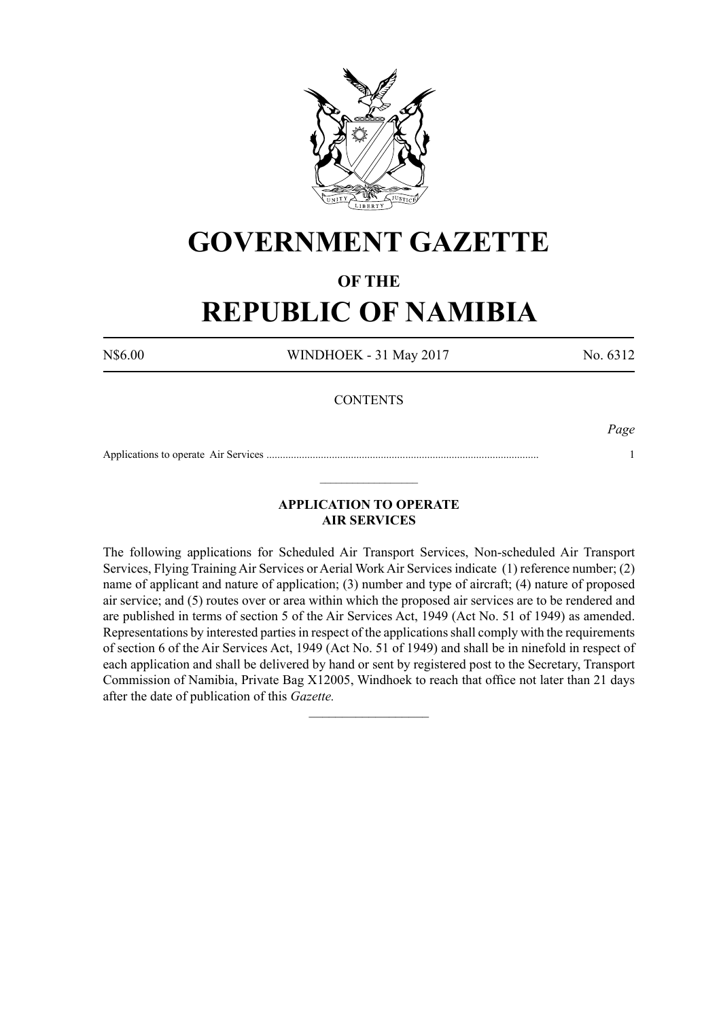

# **GOVERNMENT GAZETTE**

# **OF THE**

# **REPUBLIC OF NAMIBIA**

N\$6.00 WINDHOEK - 31 May 2017 No. 6312

## **CONTENTS**

*Page*

Applications to operate Air Services .................................................................................................... 1  $\_$ 

# **APPLICATION TO OPERATE AIR SERVICES**

The following applications for Scheduled Air Transport Services, Non-scheduled Air Transport Services, Flying Training Air Services or Aerial Work Air Services indicate (1) reference number; (2) name of applicant and nature of application; (3) number and type of aircraft; (4) nature of proposed air service; and (5) routes over or area within which the proposed air services are to be rendered and are published in terms of section 5 of the Air Services Act, 1949 (Act No. 51 of 1949) as amended. Representations by interested parties in respect of the applications shall comply with the requirements of section 6 of the Air Services Act, 1949 (Act No. 51 of 1949) and shall be in ninefold in respect of each application and shall be delivered by hand or sent by registered post to the Secretary, Transport Commission of Namibia, Private Bag X12005, Windhoek to reach that office not later than 21 days after the date of publication of this *Gazette.*

 $\frac{1}{2}$  ,  $\frac{1}{2}$  ,  $\frac{1}{2}$  ,  $\frac{1}{2}$  ,  $\frac{1}{2}$  ,  $\frac{1}{2}$  ,  $\frac{1}{2}$  ,  $\frac{1}{2}$  ,  $\frac{1}{2}$  ,  $\frac{1}{2}$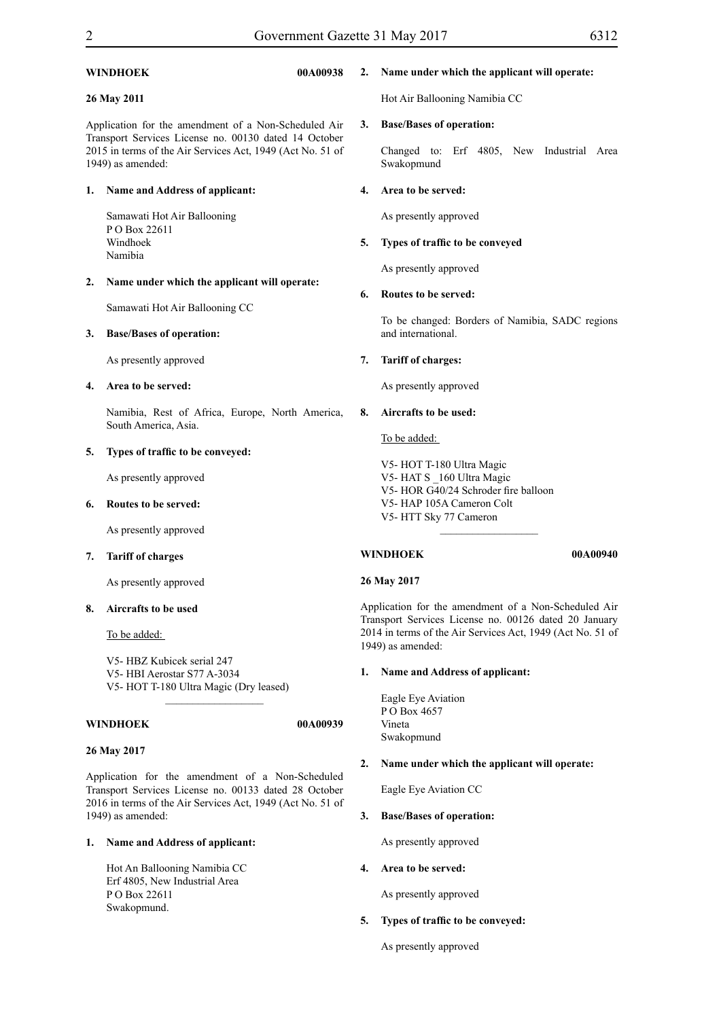#### **WINDHOEK 00A00938**

#### **26 May 2011**

Application for the amendment of a Non-Scheduled Air Transport Services License no. 00130 dated 14 October 2015 in terms of the Air Services Act, 1949 (Act No. 51 of 1949) as amended:

#### **1. Name and Address of applicant:**

Samawati Hot Air Ballooning P O Box 22611 Windhoek Namibia

#### **2. Name under which the applicant will operate:**

Samawati Hot Air Ballooning CC

#### **3. Base/Bases of operation:**

As presently approved

#### **4. Area to be served:**

Namibia, Rest of Africa, Europe, North America, South America, Asia.

#### **5. Types of traffic to be conveyed:**

As presently approved

#### **6. Routes to be served:**

As presently approved

#### **7. Tariff of charges**

As presently approved

#### **8. Aircrafts to be used**

To be added:

V5- HBZ Kubicek serial 247 V5- HBI Aerostar S77 A-3034 V5- HOT T-180 Ultra Magic (Dry leased)

 $\overline{\phantom{a}}$  , where  $\overline{\phantom{a}}$ 

### **WINDHOEK 00A00939**

#### **26 May 2017**

Application for the amendment of a Non-Scheduled Transport Services License no. 00133 dated 28 October 2016 in terms of the Air Services Act, 1949 (Act No. 51 of 1949) as amended:

#### **1. Name and Address of applicant:**

Hot An Ballooning Namibia CC Erf 4805, New Industrial Area P O Box 22611 Swakopmund.

#### **2. Name under which the applicant will operate:**

Hot Air Ballooning Namibia CC

#### **3. Base/Bases of operation:**

Changed to: Erf 4805, New Industrial Area Swakopmund

#### **4. Area to be served:**

As presently approved

#### **5. Types of traffic to be conveyed**

As presently approved

#### **6. Routes to be served:**

To be changed: Borders of Namibia, SADC regions and international.

#### **7. Tariff of charges:**

As presently approved

#### **8. Aircrafts to be used:**

To be added:

V5- HOT T-180 Ultra Magic V5- HAT S \_160 Ultra Magic V5- HOR G40/24 Schroder fire balloon V5- HAP 105A Cameron Colt V5- HTT Sky 77 Cameron  $\_$ 

#### **WINDHOEK 00A00940**

# **26 May 2017**

Application for the amendment of a Non-Scheduled Air Transport Services License no. 00126 dated 20 January 2014 in terms of the Air Services Act, 1949 (Act No. 51 of 1949) as amended:

#### **1. Name and Address of applicant:**

Eagle Eye Aviation P O Box 4657 Vineta Swakopmund

#### **2. Name under which the applicant will operate:**

Eagle Eye Aviation CC

#### **3. Base/Bases of operation:**

As presently approved

#### **4. Area to be served:**

As presently approved

#### **5. Types of traffic to be conveyed:**

As presently approved